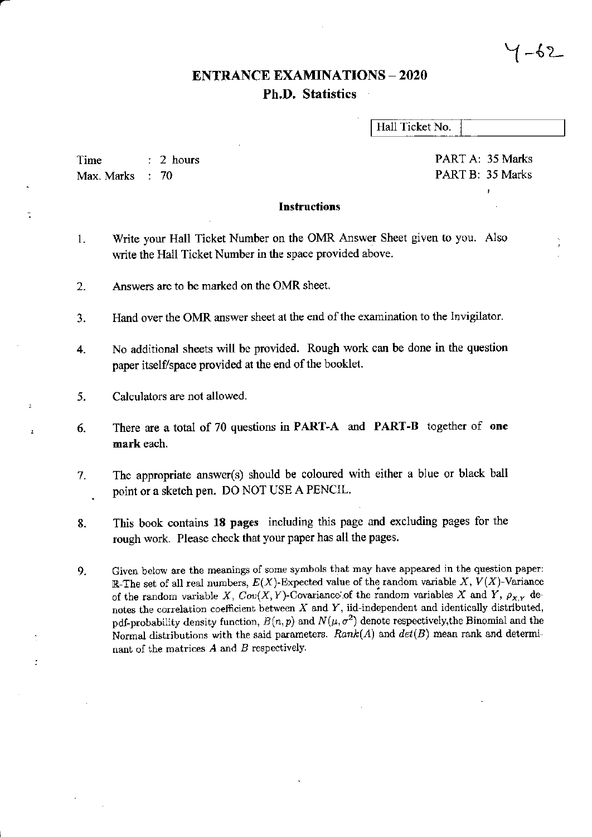## **ENTRANCE EXAMINATIONS - 2020 Ph.D. Statistics**

Hall Ticket No.

Time  $: 2$  hours Max. Marks  $\therefore 70$ 

PART A: 35 Marks PART B: 35 Marks

 $\overline{1}$ 

1-62

## **Instructions**

- Write your Hall Ticket Number on the OMR Answer Sheet given to you. Also  $\mathbf{1}$ . write the Hall Ticket Number in the space provided above.
- Answers are to be marked on the OMR sheet.  $2.$
- Hand over the OMR answer sheet at the end of the examination to the Invigilator. 3.
- No additional sheets will be provided. Rough work can be done in the question  $4.$ paper itself/space provided at the end of the booklet.
- 5. Calculators are not allowed.
- There are a total of 70 questions in **PART-A** and **PART-B** together of one 6. mark each.
- The appropriate answer(s) should be coloured with either a blue or black ball 7. point or a sketch pen. DO NOT USE A PENCIL.
- This book contains 18 pages including this page and excluding pages for the 8. rough work. Please check that your paper has all the pages.
- Given below are the meanings of some symbols that may have appeared in the question paper: 9. R-The set of all real numbers,  $E(X)$ -Expected value of the random variable X,  $V(X)$ -Variance of the random variable X,  $Cov(X, Y)$ -Covariance of the random variables X and Y,  $\rho_{X,Y}$  denotes the correlation coefficient between  $X$  and  $Y$ , iid-independent and identically distributed, pdf-probability density function,  $B(n, p)$  and  $N(\mu, \sigma^2)$  denote respectively, the Binomial and the Normal distributions with the said parameters.  $Rank(A)$  and  $det(B)$  mean rank and determinant of the matrices  $A$  and  $B$  respectively.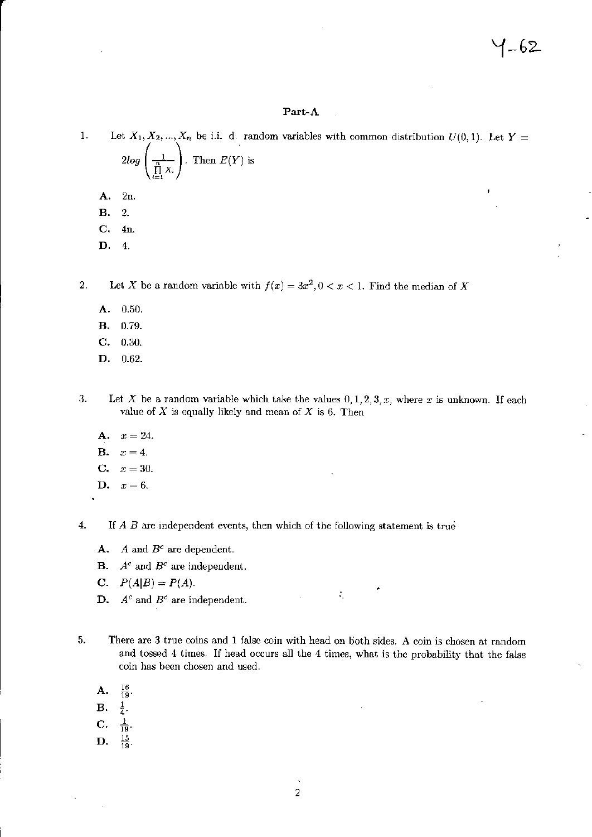## Part-A

Let  $X_1, X_2, ..., X_n$  be i.i. d. random variables with common distribution  $U(0, 1)$ . Let  $Y =$  $1.$  $2log\left(\frac{1}{\prod_{i=1}^{n}X_i}\right)$ . Then  $E(Y)$  is A.  $2n.$ **B.**  $\overline{2}$ . C.  $4n.$ D.  $\overline{4}$ .

 $2.$ Let X be a random variable with  $f(x) = 3x^2, 0 < x < 1$ . Find the median of X

- 0.50. A.
- В. 0.79.
- C.  $0.30.$
- D.  $0.62.$

3. Let X be a random variable which take the values  $0, 1, 2, 3, x$ , where x is unknown. If each value of  $X$  is equally likely and mean of  $X$  is 6. Then

- A.  $x=24.$
- **B.**  $x=4.$
- $C_{\star}$  $x=30.$
- $x=6.$ D.

 $\overline{4}$ . If  $A$   $B$  are independent events, then which of the following statement is true

- A. A and  $B^c$  are dependent.
- $A^c$  and  $B^c$  are independent. **B.**
- **C.**  $P(A|B) = P(A)$ .
- **D.**  $A^c$  and  $B^c$  are independent.
- There are 3 true coins and 1 false coin with head on both sides. A coin is chosen at random 5. and tossed 4 times. If head occurs all the 4 times, what is the probability that the false coin has been chosen and used.

 $\tilde{\mathcal{A}}_1$ 

- $\frac{16}{19}$ А.
- В.  $\frac{1}{4}$ .
- $\frac{1}{19}$ . C.
- $\frac{15}{19}$ . D.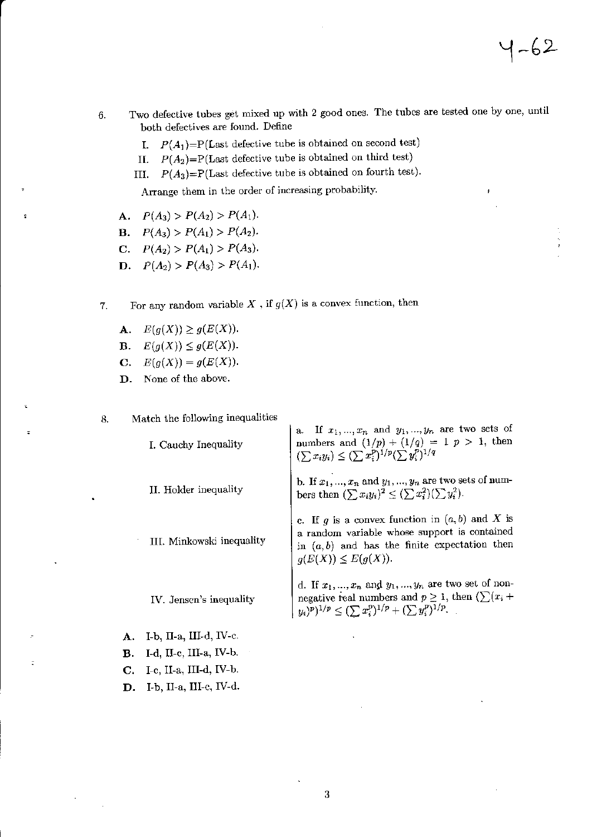- Two defective tubes get mixed up with 2 good ones. The tubes are tested one by one, until 6. both defectives are found. Define
	- $P(A_1) = P(\text{Last defective tube is obtained on second test})$ I.
	- $P(A_2) = P(Last$  defective tube is obtained on third test) II.
	- III.  $P(A_3)=P(\text{Last defective tube is obtained on fourth test}).$

Arrange them in the order of increasing probability.

- **A.**  $P(A_3) > P(A_2) > P(A_1)$ .
- **B.**  $P(A_3) > P(A_1) > P(A_2)$ .
- **C.**  $P(A_2) > P(A_1) > P(A_3)$ .
- **D.**  $P(A_2) > P(A_3) > P(A_1)$ .
- For any random variable  $X$ , if  $g(X)$  is a convex function, then 7.
	- $E(g(X)) \ge g(E(X)).$ A.
	- $E(g(X)) \leq g(E(X)).$ **B.**
	- $E(g(X)) = g(E(X)).$  $\mathbf{C}$ .
	- None of the above. D.

 $\ddot{\phantom{a}}$ 

Match the following inequalities 8.

|    | I. Cauchy Inequality        | If $x_1, , x_n$ and $y_1, , y_n$ are two sets of<br>numbers and $(1/p) + (1/q) = 1$ $p > 1$ , then<br>$(\sum x_i y_i) \leq (\sum x_i^p)^{1/p} (\sum y_i^p)^{1/q}$                       |
|----|-----------------------------|-----------------------------------------------------------------------------------------------------------------------------------------------------------------------------------------|
|    | II. Holder inequality       | b. If $x_1, , x_n$ and $y_1, , y_n$ are two sets of num-<br>bers then $(\sum x_i y_i)^2 \leq (\sum x_i^2)(\sum y_i^2)$ .                                                                |
|    | III. Minkowski inequality   | c. If g is a convex function in $(a, b)$ and X is<br>a random variable whose support is contained<br>in $(a, b)$ and has the finite expectation then<br>$q(E(X)) \leq E(q(X)).$         |
|    | IV. Jensen's inequality     | d. If $x_1, , x_n$ and $y_1, , y_n$ are two set of non-<br>negative real numbers and $p \geq 1$ , then $(\sum (x_i +$<br>$(y_i)^p)^{1/p} \leq (\sum x_i^p)^{1/p} + (\sum y_i^p)^{1/p}.$ |
| А. | I-b, $\Pi$ -a, III-d, IV-c. |                                                                                                                                                                                         |
| В. | I-d, II-c, III-a, IV-b.     |                                                                                                                                                                                         |
| C. | I-c, II-a, III-d, IV-b.     |                                                                                                                                                                                         |
| D. | I-b, II-a, III-c, IV-d.     |                                                                                                                                                                                         |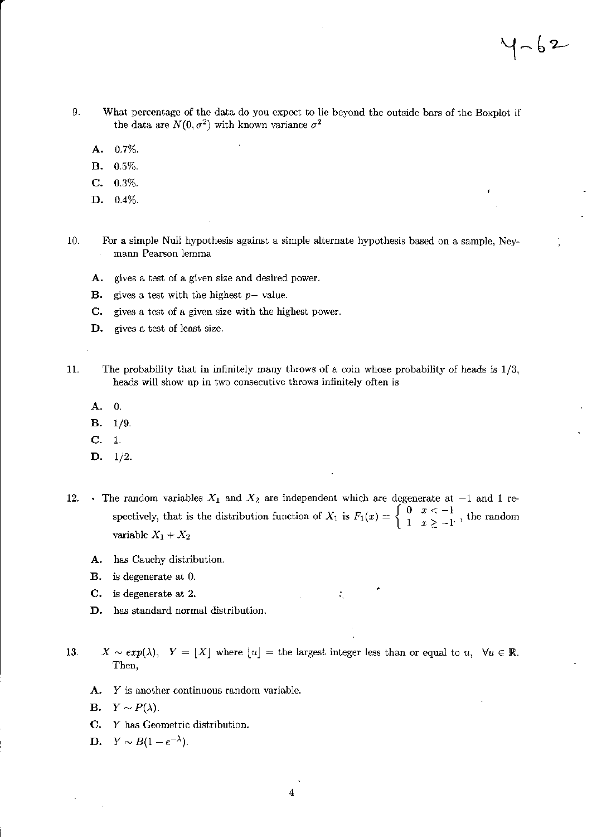- 9. What percentage of the data do you expect to lie beyond the outside bars of the Boxplot if the data are  $N(0, \sigma^2)$  with known variance  $\sigma^2$ 
	- $0.7\%$ . A.
	- **B.**  $0.5%$
	- $\mathbf{C}$ .  $0.3\%$ .
	- D. 0.4%.
- 10. For a simple Null hypothesis against a simple alternate hypothesis based on a sample, Neymann Pearson lemma
	- А. gives a test of a given size and desired power.
	- gives a test with the highest  $p-$  value. В.
	- gives a test of a given size with the highest power. C.
	- D. gives a test of least size.
- 11. The probability that in infinitely many throws of a coin whose probability of heads is  $1/3$ , heads will show up in two consecutive throws infinitely often is
	- $\overline{0}$ . A.
	- **B.**  $1/9$ .
	- $C. 1.$
	- $D. 1/2.$
- The random variables  $X_1$  and  $X_2$  are independent which are degenerate at  $-1$  and 1 re-12. spectively, that is the distribution function of  $X_1$  is  $F_1(x) = \begin{cases} 0 & x < -1 \\ 1 & x \ge -1 \end{cases}$ , the random variable  $X_1 + X_2$ 
	- A. has Cauchy distribution.
	- **B.** is degenerate at 0.
	- C. is degenerate at 2.
	- D. has standard normal distribution.

 $X \sim exp(\lambda)$ ,  $Y = |X|$  where  $|u| =$  the largest integer less than or equal to  $u, \forall u \in \mathbb{R}$ . 13. Then.

÷.

- A. Y is another continuous random variable.
- **B.**  $Y \sim P(\lambda)$ .
- C. Y has Geometric distribution.
- **D.**  $Y \sim B(1-e^{-\lambda}).$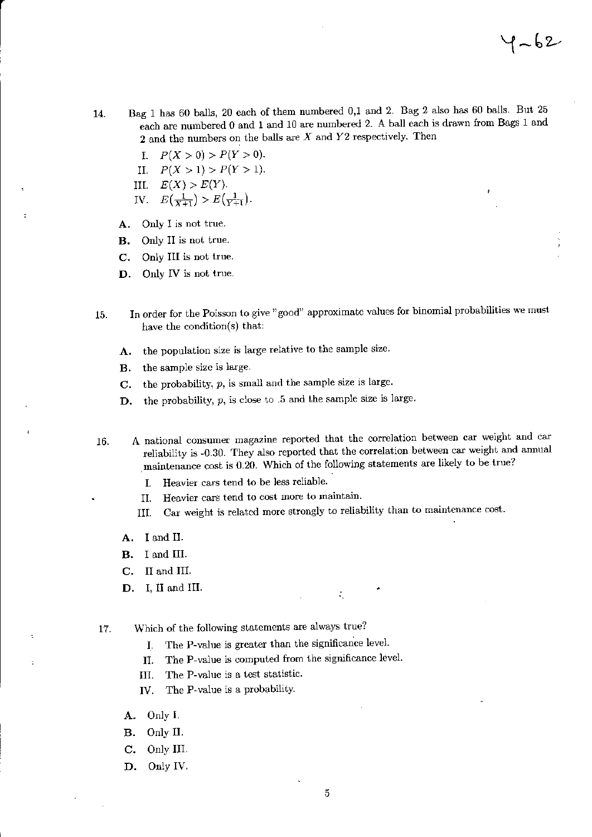- Bag 1 has 60 balls, 20 each of them numbered 0,1 and 2. Bag 2 also has 60 balls. But 25 14. each are numbered 0 and 1 and 10 are numbered 2. A ball each is drawn from Bags 1 and 2 and the numbers on the balls are  $X$  and  $Y2$  respectively. Then
	- $P(X > 0) > P(Y > 0).$ Ι.
	- $P(X > 1) > P(Y > 1).$  $II.$
	- III.  $E(X) > E(Y)$ .
	- IV.  $E(\frac{1}{X+1}) > E(\frac{1}{Y+1})$ .
	- Only I is not true. A.
	- **B.** Only II is not true.
	- C. Only III is not true.
	- Only IV is not true. D.
- In order for the Poisson to give "good" approximate values for binomial probabilities we must 15. have the condition(s) that:
	- the population size is large relative to the sample size. A.
	- the sample size is large. В.
	- the probability,  $p$ , is small and the sample size is large.  $\mathbf{C}$ .
	- the probability,  $p$ , is close to .5 and the sample size is large. D.

A national consumer magazine reported that the correlation between car weight and car 16. reliability is -0.30. They also reported that the correlation between car weight and annual maintenance cost is 0.20. Which of the following statements are likely to be true?

- Heavier cars tend to be less reliable. I.
- Heavier cars tend to cost more to maintain. II.
- Car weight is related more strongly to reliability than to maintenance cost. III.

 $\tilde{\mathcal{A}}_1$ 

- A. I and II.
- **B.** I and III.
- C. II and III.
- D. I, II and III.

Which of the following statements are always true? 17.

- The P-value is greater than the significance level. I.
- The P-value is computed from the significance level. II.
- The P-value is a test statistic. III.
- The P-value is a probability. IV.
- A. Only I.
- Only II. **B.**
- C. Only III.
- D. Only IV.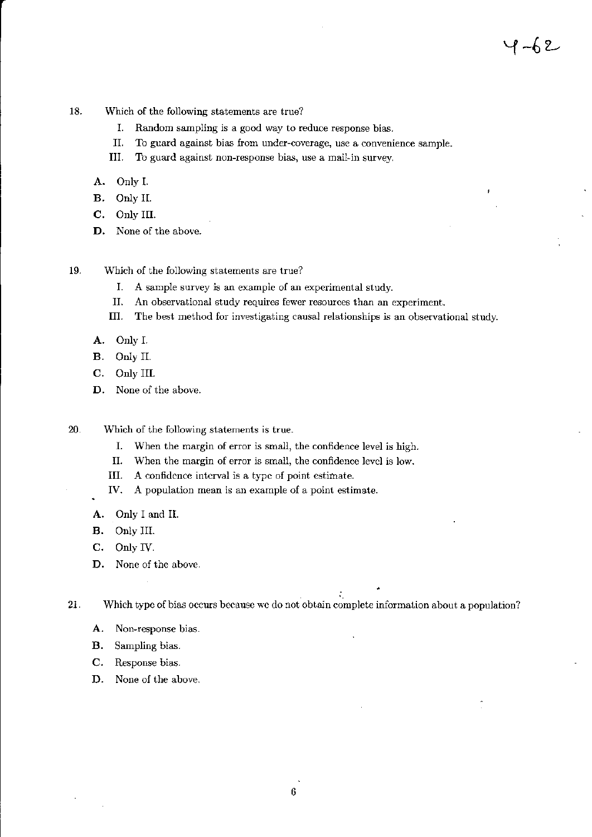- 18. Which of the following statements are true?
	- I. Random sampling is a good way to reduce response bias.
	- II. To guard against bias from under-coverage, use a convenience sample.
	- III. To guard against non-response bias, use a mail-in survey.
	- A. Only I.
	- B. Only II.
	- C. Only III.
	- D. None of the above.
- 19. Which of the following statements are true?
	- $I_{\cdot}$ A sample survey is an example of an experimental study.
	- An observational study requires fewer resources than an experiment. II.
	- III. The best method for investigating causal relationships is an observational study.
	- A. Only I.
	- **B.** Only II.
	- C. Only III.
	- D. None of the above.
- 20. Which of the following statements is true.
	- When the margin of error is small, the confidence level is high. Ι.
	- II. When the margin of error is small, the confidence level is low.
	- III. A confidence interval is a type of point estimate.
	- IV. A population mean is an example of a point estimate.
	- Only I and II. A.
	- **B.** Only III.
	- Only IV. C.
	- D. None of the above.

21. Which type of bias occurs because we do not obtain complete information about a population?

÷.

- A. Non-response bias.
- **B.** Sampling bias.
- Response bias.  $\mathbf{C}$ .
- D. None of the above.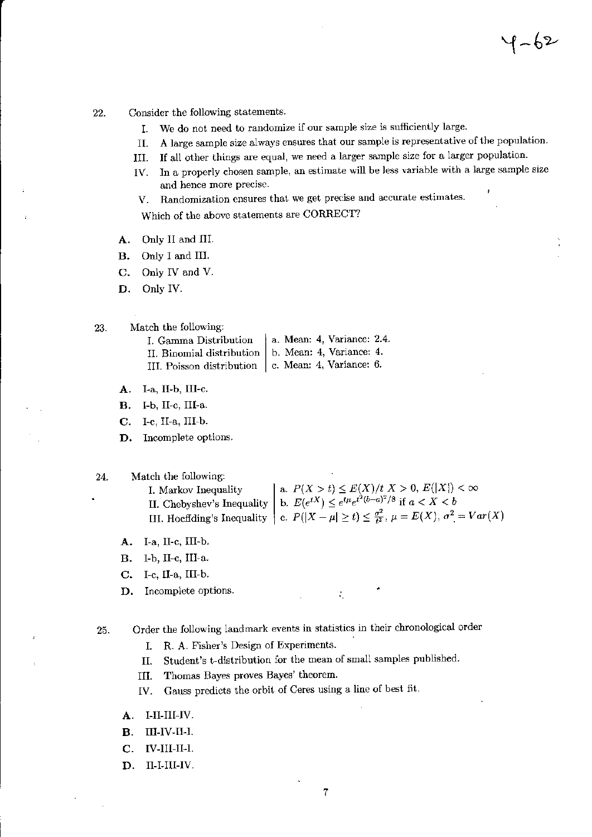- Consider the following statements. 22.
	- We do not need to randomize if our sample size is sufficiently large. I.
	- A large sample size always ensures that our sample is representative of the population. II.

 $1 - 62$ 

- If all other things are equal, we need a larger sample size for a larger population. III.
- In a properly chosen sample, an estimate will be less variable with a large sample size IV. and hence more precise.
- Randomization ensures that we get precise and accurate estimates. V.

Which of the above statements are CORRECT?

- Only II and III. А.
- Only I and III. **B.**
- C. Only IV and V.
- D. Only IV.
- Match the following: 23.
	- a. Mean: 4, Variance: 2.4. I. Gamma Distribution b. Mean: 4, Variance: 4. II. Binomial distribution III. Poisson distribution | c. Mean: 4, Variance: 6.
	- A. I-a, II-b, III-c.
	- $\mathbf{B}$ . I-b, II-c, III-a.
	- $\mathbf{C}$ .  $I-c$ , II-a, III-b.
	- Incomplete options. D.

24. Match the following:

```
a. P(X > t) \le E(X)/t X > 0, E(|X|) < \inftyI. Markov Inequality
                                   b. E(e^{tX}) \leq e^{t\mu}e^{t^2(b-a)^2/8} if a < X < bII. Chebyshev's Inequality
III. Hoeffding's Inequality \Big| c. P(|X - \mu| \ge t) \le \frac{\sigma^2}{t^2}, \mu = E(X), \sigma^2 = Var(X)
```
 $\tilde{\mathcal{A}}_1$ 

- A. I-a, II-c, III-b.
- **B.** I-b, II-c, III-a.
- C. I-c, II-a, III-b.

Incomplete options. D.

Order the following landmark events in statistics in their chronological order 25.

- R. A. Fisher's Design of Experiments. I.
- Student's t-distribution for the mean of small samples published. Π.
- Thomas Bayes proves Bayes' theorem. III.
- Gauss predicts the orbit of Ceres using a line of best fit. IV.
- A. I-II-III-IV.
- $\mathbf{B}$ . III-IV-II-I.
- $C_{\rm R}$ IV-III-II-I.
- D. II-I-III-IV.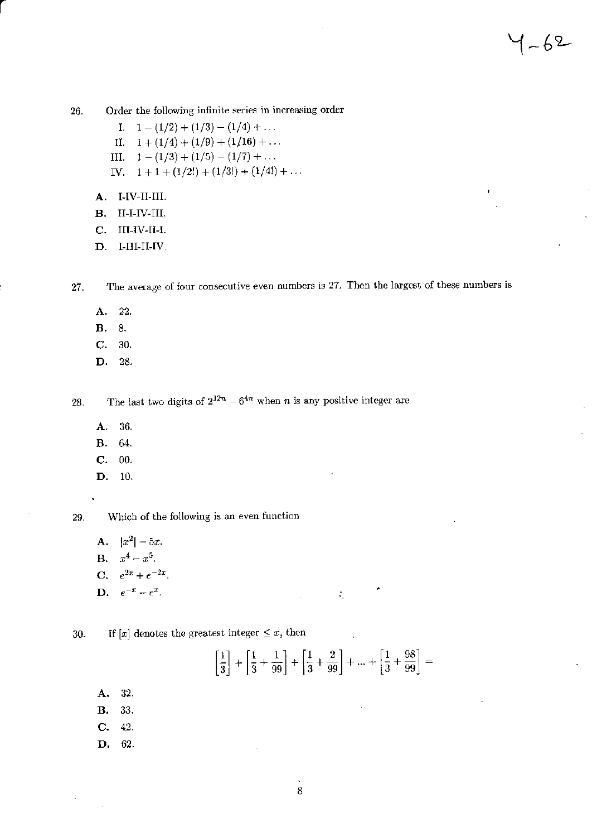Order the following infinite series in increasing order 26.

- I.  $1-(1/2)+(1/3)-(1/4)+...$
- II.  $1 + (1/4) + (1/9) + (1/16) + ...$
- III.  $1-(1/3)+(1/5)-(1/7)+...$
- IV.  $1 + 1 + (1/2!) + (1/3!) + (1/4!) + ...$
- A. I-IV-II-III.
- В.  $II-I-IV-III.$
- III-IV-II-I. C.
- D. I-III-II-IV.

The average of four consecutive even numbers is 27. Then the largest of these numbers is 27.

- A. 22.
- 8. **B.**
- C. 30.
- D. 28.

The last two digits of  $2^{12n} - 6^{4n}$  when *n* is any positive integer are 28.

- A. 36.
- **B.** 64.
- $C. 00.$
- D. 10.

Which of the following is an even function 29.

- **A.**  $|x^2| 5x$ . **B.**  $x^4 - x^5$ . **C.**  $e^{2x} + e^{-2x}$ .
- **D.**  $e^{-x} e^{x}$ .  $\mathcal{L}_{\mathcal{L}}$
- If  $[x]$  denotes the greatest integer  $\leq x$ , then 30.

 $\left[\frac{1}{3}\right] + \left[\frac{1}{3} + \frac{1}{99}\right] + \left[\frac{1}{3} + \frac{2}{99}\right] + \dots + \left[\frac{1}{3} + \frac{98}{99}\right] =$ 

- 32. А.
- 33. **B.**
- C. 42.
- D. 62.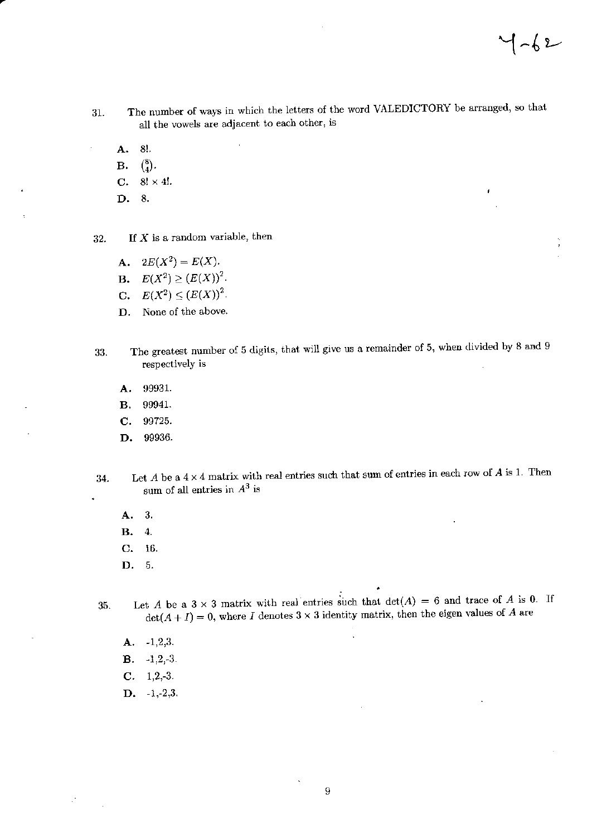J.

- The number of ways in which the letters of the word VALEDICTORY be arranged, so that 31. all the vowels are adjacent to each other, is
	- 8!. A.
	- $\binom{8}{4}$ . В.
	- C. 8!  $\times$  4!.
	- D. 8.
- If  $X$  is a random variable, then 32.
	- $2E(X^2) = E(X).$ A.
	- $E(X^2) \ge (E(X))^2$ . **B.**
	- **C.**  $E(X^2) \le (E(X))^2$ .
	- D. None of the above.
- The greatest number of 5 digits, that will give us a remainder of 5, when divided by 8 and 9 33. respectively is
	- 99931. A.
	- 99941. В.
	- 99725.  $\mathbf{C}$ .
	- 99936. D.
- Let A be a  $4 \times 4$  matrix with real entries such that sum of entries in each row of A is 1. Then 34. sum of all entries in  $A^3$  is
	- -3. A.

k.

- $\bf{4}$ . В.
- 16. C.
- 5. D.
- Let A be a  $3 \times 3$  matrix with real entries such that  $det(A) = 6$  and trace of A is 0. If 35.  $\det(A+I)=0$ , where I denotes  $3\times 3$  identity matrix, then the eigen values of A are
	- A.  $-1,2,3.$
	- $-1,2,-3.$ **B.**
	- $C. 1, 2, -3.$
	- $D. -1,-2,3.$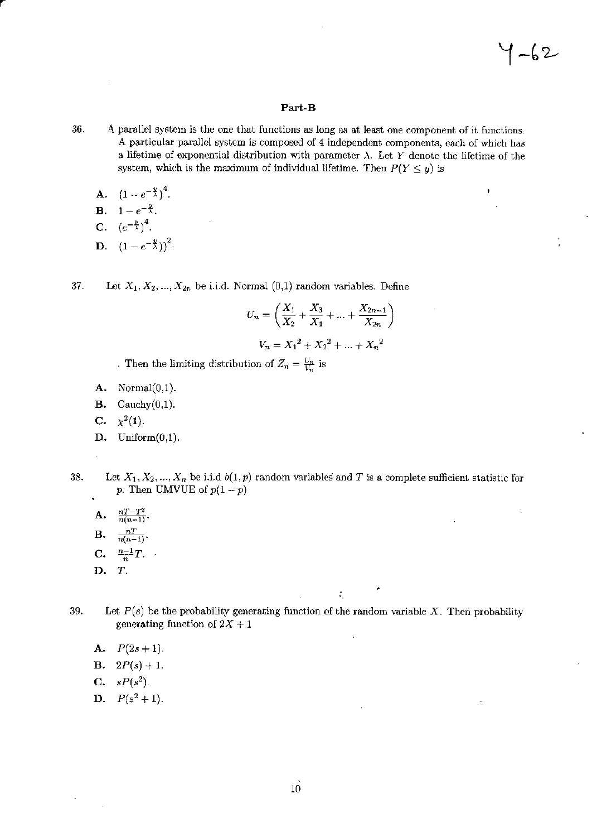## Part-B

36. A parallel system is the one that functions as long as at least one component of it functions. A particular parallel system is composed of 4 independent components, each of which has a lifetime of exponential distribution with parameter  $\lambda$ . Let Y denote the lifetime of the system, which is the maximum of individual lifetime. Then  $P(Y \le y)$  is

- **A.**  $(1-e^{-\frac{y}{\lambda}})^4$ .
- **B.**  $1 e^{-\frac{y}{\lambda}}$ .
- C.  $(e^{-\frac{y}{\lambda}})^4$ .
- **D.**  $(1-e^{-\frac{y}{\lambda}})^2$ .

37. Let  $X_1, X_2, ..., X_{2n}$  be i.i.d. Normal  $(0,1)$  random variables. Define

$$
U_n = \left(\frac{X_1}{X_2} + \frac{X_3}{X_4} + \dots + \frac{X_{2n-1}}{X_{2n}}\right)
$$

$$
V_n = X_1^2 + X_2^2 + \dots + X_n^2
$$

. Then the limiting distribution of  $Z_n = \frac{U_n}{V_n}$  is

- A. Normal $(0,1)$ .
- **B.** Cauchy $(0,1)$ .
- $\chi^2(1)$ . C.
- D. Uniform $(0,1)$ .
- 
- 38. Let  $X_1, X_2, ..., X_n$  be i.i.d  $b(1, p)$  random variables and T is a complete sufficient statistic for p. Then UMVUE of  $p(1-p)$ 
	- **A.**  $\frac{nT-T^2}{n(n-1)}$
	- $\frac{n}{n(n-1)}$ .  $\mathbf{B}.$
	- $\frac{n-1}{n}T.$  ${\bf C}.$
	- D. T.

Let  $P(s)$  be the probability generating function of the random variable X. Then probability 39. generating function of  $2X + 1$ 

 $\zeta$ 

A.  $P(2s+1)$ .

- **B.**  $2P(s) + 1$ .
- **C.**  $sP(s^2)$ .
- **D.**  $P(s^2 + 1)$ .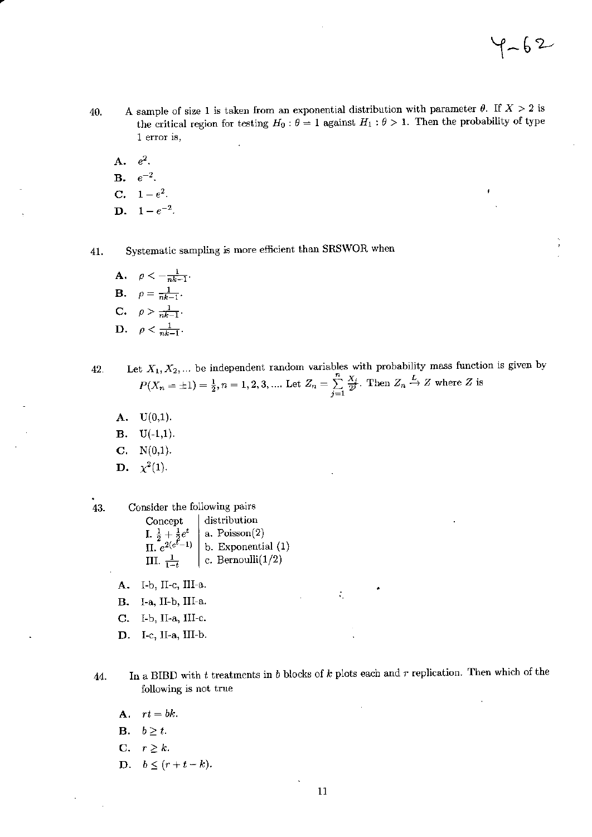- A sample of size 1 is taken from an exponential distribution with parameter  $\theta$ . If  $X > 2$  is 40. the critical region for testing  $H_0: \theta = 1$  against  $H_1: \theta > 1$ . Then the probability of type 1 error is,
	- A.  $e^2$ .
	- **B.**  $e^{-2}$ .
	- **C.**  $1-e^2$ .
	- **D.**  $1-e^{-2}$ .

41.

43.

Systematic sampling is more efficient than SRSWOR when

**A.**  $\rho < -\frac{1}{nk-1}$ . **B.**  $\rho = \frac{1}{nk-1}$ . C.  $\rho > \frac{1}{nk-1}$ . D.  $\rho < \frac{1}{nk-1}$ .

Let  $X_1, X_2, ...$  be independent random variables with probability mass function is given by 42.  $P(X_n = \pm 1) = \frac{1}{2}, n = 1, 2, 3, \dots$  Let  $Z_n = \sum_{i=1}^n \frac{X_i}{2^j}$ . Then  $Z_n \stackrel{L}{\rightarrow} Z$  where Z is

- $A. U(0,1).$
- **B.**  $U(-1,1)$ .
- $C. N(0,1).$
- **D.**  $\chi^2(1)$ .
- Consider the following pairs distribution Concept I.  $\frac{1}{2} + \frac{1}{2}e^t$ <br>II.  $e^{2(e^t-1)}$ a.  $Poisson(2)$ b. Exponential (1) III.  $\frac{1}{1-t}$ c. Bernoulli $(1/2)$ 
	- A. I-b, II-c, III-a.
	- B. I-a, II-b, III-a.
	- C. I-b, II-a, III-c.
	- D. I-c, II-a, III-b.
- In a BIBD with  $t$  treatments in  $b$  blocks of  $k$  plots each and  $r$  replication. Then which of the 44. following is not true

 $\tilde{\mathcal{A}}_1$ 

- A.  $rt = bk$ .
- **B.**  $b \geq t$ .
- C.  $r \geq k$ .
- D.  $b \leq (r+t-k)$ .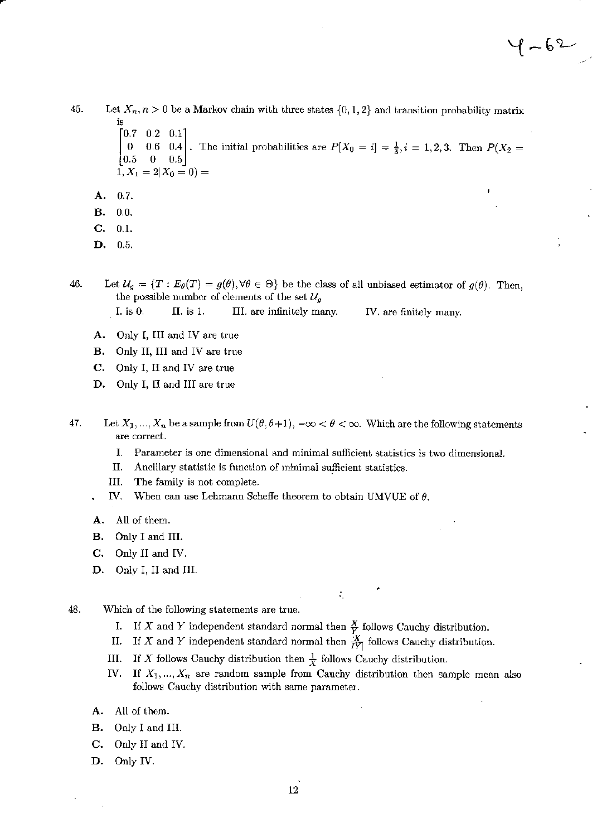45. Let  $X_n$ ,  $n > 0$  be a Markov chain with three states  $\{0, 1, 2\}$  and transition probability matrix  $\begin{bmatrix} 0.7 & 0.2 & 0.1 \end{bmatrix}$ 0 0.6 0.4. The initial probabilities are  $P[X_0 = i] = \frac{1}{3}, i = 1, 2, 3$ . Then  $P(X_2 = 1)$  $\begin{bmatrix} 0.5 & 0 & 0.5 \end{bmatrix}$  $\overline{1}, X_1 = 2 | X_0 = 0) =$ 

- A. 0.7.
- **B.**  $0.0.$
- C.  $0.1.$
- D.  $0.5.$

46. Let  $\mathcal{U}_g = \{T : E_\theta(T) = g(\theta), \forall \theta \in \Theta\}$  be the class of all unbiased estimator of  $g(\theta)$ . Then, the possible number of elements of the set  $\mathcal{U}_g$ 

I. is 0. II. is 1. III. are infinitely many. IV. are finitely many.

- A. Only I, III and IV are true
- **B.** Only II, III and IV are true
- C. Only I, II and IV are true
- D. Only I, II and III are true
- 47. Let  $X_1, ..., X_n$  be a sample from  $U(\theta, \theta+1), -\infty < \theta < \infty$ . Which are the following statements are correct.
	- $\mathbf{I}$ . Parameter is one dimensional and minimal sufficient statistics is two dimensional.
	- П. Ancillary statistic is function of minimal sufficient statistics.
	- III. The family is not complete.
	- IV. When can use Lehmann Scheffe theorem to obtain UMVUE of  $\theta$ .
	- A. All of them.
	- Only I and III. **B.**
	- $C_{\cdot}$ Only II and IV.
	- D. Only I, II and III.
- 48. Which of the following statements are true.
	- If X and Y independent standard normal then  $\frac{X}{Y}$  follows Cauchy distribution. Ι.
	- If X and Y independent standard normal then  $\frac{X}{IY}$  follows Cauchy distribution. П.
	- III. If X follows Cauchy distribution then  $\frac{1}{X}$  follows Cauchy distribution.
	- If  $X_1, ..., X_n$  are random sample from Cauchy distribution then sample mean also IV. follows Cauchy distribution with same parameter.

÷,

- All of them. А.
- в. Only I and III.
- C. Only II and IV.
- D. Only IV.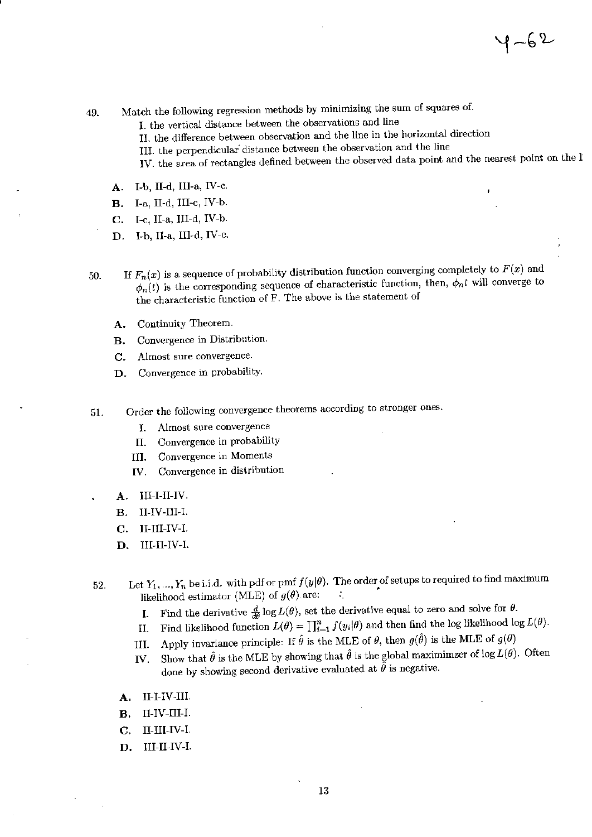- Match the following regression methods by minimizing the sum of squares of. 49.
	- I. the vertical distance between the observations and line
	- II. the difference between observation and the line in the horizontal direction
	- III. the perpendicular distance between the observation and the line
	- IV. the area of rectangles defined between the observed data point and the nearest point on the li
	- I-b, II-d, III-a, IV-c. A.
	- I-a, II-d, III-c, IV-b. **B.**
	- I-c, II-a, III-d, IV-b.  $\mathbf{C}$ .
	- D. I-b, II-a, III-d, IV-c.
- If  $F_n(x)$  is a sequence of probability distribution function converging completely to  $F(x)$  and 50.  $\phi_n(t)$  is the corresponding sequence of characteristic function, then,  $\phi_n t$  will converge to the characteristic function of F. The above is the statement of
	- Continuity Theorem. А.
	- Convergence in Distribution. **B.**
	- Almost sure convergence. C.
	- Convergence in probability. D.
- Order the following convergence theorems according to stronger ones. 51.
	- Almost sure convergence I.
	- Convergence in probability Π.
	- Convergence in Moments III.
	- Convergence in distribution IV.
	- III-I-II-IV. А.
	- II-IV-III-I. **B.**
	- II-III-IV-I.  $C_{\star}$
	- D. III-II-IV-I.
- Let  $Y_1, ..., Y_n$  be i.i.d. with pdf or pmf  $f(y|\theta)$ . The order of setups to required to find maximum 52. likelihood estimator (MLE) of  $g(\theta)$  are: ÷.
	- Find the derivative  $\frac{d}{d\theta} \log L(\theta)$ , set the derivative equal to zero and solve for  $\theta$ . Ι.
	- Find likelihood function  $L(\theta) = \prod_{i=1}^{n} f(y_i | \theta)$  and then find the log likelihood log  $L(\theta)$ . II.
	- Apply invariance principle: If  $\hat{\theta}$  is the MLE of  $\theta$ , then  $g(\hat{\theta})$  is the MLE of  $g(\theta)$ III.
	- Show that  $\hat{\theta}$  is the MLE by showing that  $\hat{\theta}$  is the global maximimzer of log  $L(\theta)$ . Often IV. done by showing second derivative evaluated at  $\tilde{\hat{\theta}}$  is negative.
	- II-I-IV-III. А.
	- II-IV-III-I. В.
	- II-III-IV-I.  $\mathbf{C}$ .
	- D. III-II-IV-I.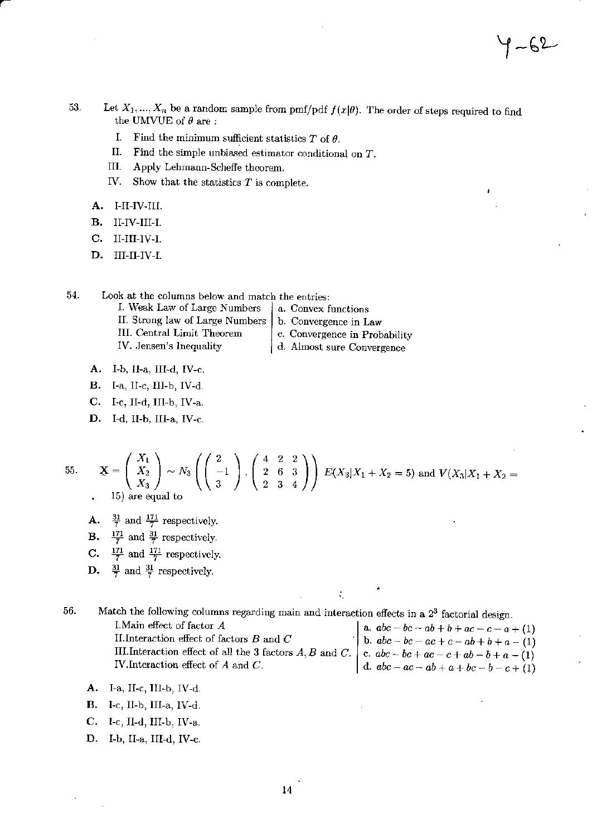- 53. Let  $X_1, ..., X_n$  be a random sample from pmf/pdf  $f(x|\theta)$ . The order of steps required to find the UMVUE of  $\theta$  are:
	- I. Find the minimum sufficient statistics  $T$  of  $\theta$ .
	- Π. Find the simple unbiased estimator conditional on  $T$ .
	- Ш. Apply Lehmann-Scheffe theorem.
	- IV. Show that the statistics  $T$  is complete.
	- A. I-II-IV-III.
	- II-IV-III-I. **B.**
	- $II-III-IV-I.$ C.
	- D. III-II-IV-I.

54. Look at the columns below and match the entries:

- I. Weak Law of Large Numbers II. Strong law of Large Numbers III. Central Limit Theorem IV. Jensen's Inequality
	- a. Convex functions b. Convergence in Law
	- c. Convergence in Probability
	- d. Almost sure Convergence

÷.

- A. I-b, II-a, III-d, IV-c.
- **B.** I-a, II-c, III-b, IV-d.
- $C.$  I-c, II-d, III-b, IV-a.
- D. I-d, II-b, III-a, IV-c.

55. 
$$
\mathbf{X} = \begin{pmatrix} X_1 \\ X_2 \\ X_3 \end{pmatrix} \sim N_3 \left( \begin{pmatrix} 2 \\ -1 \\ 3 \end{pmatrix}, \begin{pmatrix} 4 & 2 & 2 \\ 2 & 6 & 3 \\ 2 & 3 & 4 \end{pmatrix} \right) E(X_3 | X_1 + X_2 = 5) \text{ and } V(X_3 | X_1 + X_2 = 5)
$$

- **A.**  $\frac{31}{7}$  and  $\frac{171}{7}$  respectively.
- **B.**  $\frac{171}{7}$  and  $\frac{31}{7}$  respectively.
- **C.**  $\frac{171}{7}$  and  $\frac{171}{7}$  respectively.
- **D.**  $\frac{31}{7}$  and  $\frac{31}{7}$  respectively.

56. Match the following columns regarding main and interaction effects in a 2<sup>3</sup> factorial design.

I. Main effect of factor A II. Interaction effect of factors  $B$  and  $C$ III.Interaction effect of all the 3 factors  $A, B$  and  $C$ . IV. Interaction effect of  $A$  and  $C$ .

a.  $abc - bc - ab + b + ac - c - a + (1)$ b.  $abc - bc - ac + c - ab + b + a - (1)$ c.  $abc - bc + ac - c + ab - b + a - (1)$ <br>d.  $abc - ac - ab + a + bc - b - c + (1)$ 

f ~62~

- A. I-a, II-c, III-b, IV-d.
- **B.** I-c, II-b, III-a, IV-d.
- C. I-c, II-d, III-b, IV-a.
- D. I-b, II-a, III-d, IV-c.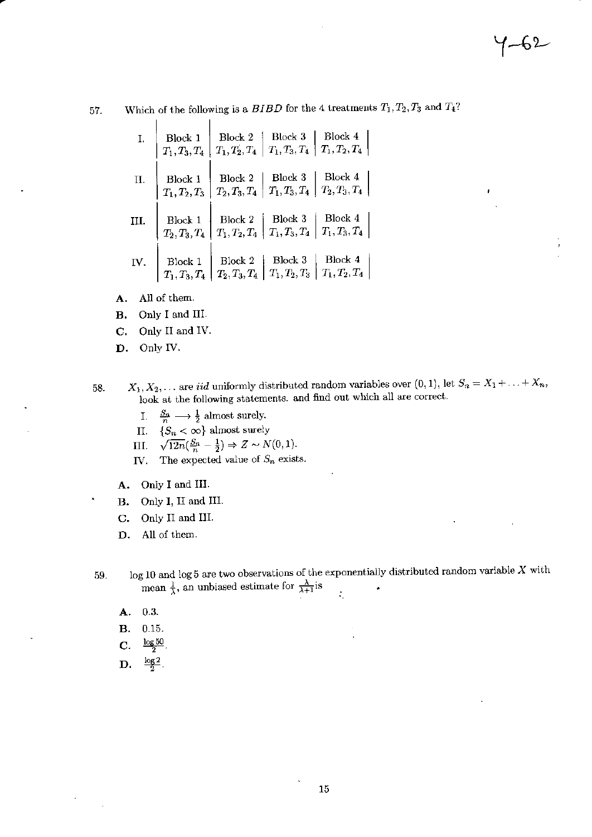J.

57.

Which of the following is a  $BIBD$  for the 4 treatments  $T_1, T_2, T_3$  and  $T_4$ ?

| Ι.   | Block 1<br>$T_1, T_3, T_4$ | Block 4<br>Block 3<br>Block 2<br>$\, T_1, T_2, T_4\,$<br>$T_1, T_3, T_4$<br>$T_1, T_2, T_4$         |
|------|----------------------------|-----------------------------------------------------------------------------------------------------|
| Π.   | Block 1<br>$T_1, T_2, T_3$ | Block 4<br>Block 3<br>Block 2<br>$\, T_{2}, T_{3}, T_{4} \,$<br>$T_1, T_3, T_4$<br>$T_2, T_3, T_4$  |
| III. | Block 1<br>$T_2, T_3, T_4$ | Block 4<br>Block 3<br>Block 2<br>$T_1,T_3,T_4$<br>$\, T_1,T_3,T_4$<br>$T_{1}, T_{2}, T_{4}$         |
| IV.  | Block 1<br>$T_1, T_3, T_4$ | Block 4<br>Block 3<br>Block 2<br>$T_1, T_2, T_4$<br>$\, T_1,T_2,T_3$<br>$\, T_{2}, T_{3}, T_{4} \,$ |

All of them. A.

 $\overline{1}$ 

- Only I and III. В.
- Only II and IV. C.
- D. Only IV.

 $X_1, X_2, \ldots$  are *iid* uniformly distributed random variables over  $(0, 1)$ , let  $S_n = X_1 + \ldots + X_n$ , 58. look at the following statements. and find out which all are correct.

- I.  $\frac{S_n}{n} \longrightarrow \frac{1}{2}$  almost surely.
- II.  ${S_n < \infty}$  almost surely
- $\sqrt{12n}(\frac{S_n}{n}-\frac{1}{2}) \Rightarrow Z \sim N(0,1).$ III.
- The expected value of  $S_n$  exists. IV.
- A. Only I and III.
- B. Only I, II and III.
- C. Only II and III.
- D. All of them.
- $\log 10$  and  $\log 5$  are two observations of the exponentially distributed random variable X with 59. mean  $\frac{1}{\lambda}$ , an unbiased estimate for  $\frac{\lambda}{\lambda+1}$  is  $\ddot{\Omega}$ 
	- $0.3.$ А.
	- 0.15. **B.**
	- $\frac{\log 50}{2}$ C.
	- D.  $\frac{\log 2}{2}$ .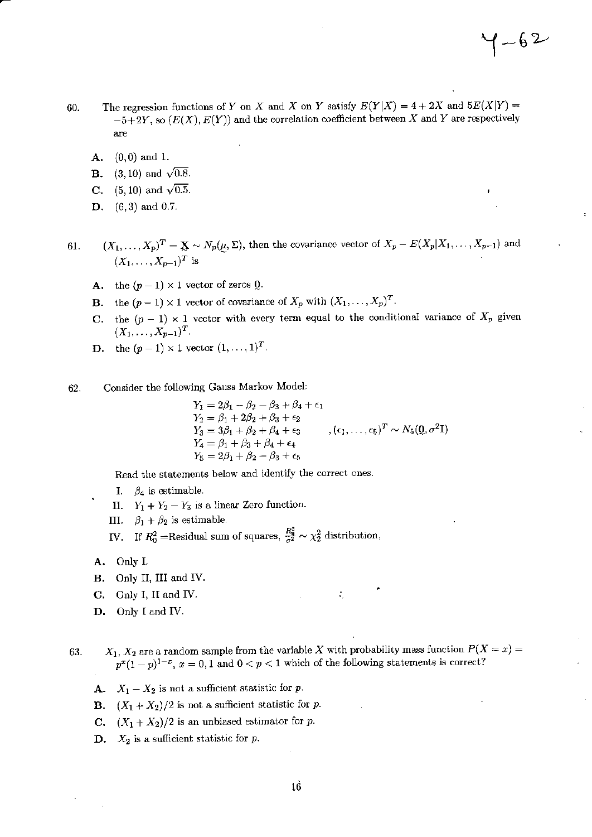- The regression functions of Y on X and X on Y satisfy  $E(Y|X) = 4 + 2X$  and  $5E(X|Y) =$ 60.  $-5+2Y$ , so  $(E(X), E(Y))$  and the correlation coefficient between X and Y are respectively are
	- $(0,0)$  and 1. A.
	- $(3, 10)$  and  $\sqrt{0.8}$ . в.
	- $(5, 10)$  and  $\sqrt{0.5}$ . C.
	- $(6,3)$  and 0.7. D.

 $(X_1,\ldots,X_p)^T = \mathbf{X} \sim N_p(\underline{\mu},\Sigma)$ , then the covariance vector of  $X_p - E(X_p|X_1,\ldots,X_{p-1})$  and 61.  $(X_1, \ldots, X_{p-1})^T$  is

- **A.** the  $(p-1) \times 1$  vector of zeros **Q**.
- **B.** the  $(p-1) \times 1$  vector of covariance of  $X_p$  with  $(X_1, \ldots, X_p)^T$ .
- C. the  $(p-1) \times 1$  vector with every term equal to the conditional variance of  $X_p$  given  $(X_1, \ldots, X_{p-1})^T$ .
- **D.** the  $(p-1) \times 1$  vector  $(1, ..., 1)^T$ .
- Consider the following Gauss Markov Model: 62.

$$
Y_1 = 2\beta_1 - \beta_2 - \beta_3 + \beta_4 + \epsilon_1
$$
  
\n
$$
Y_2 = \beta_1 + 2\beta_2 + \beta_3 + \epsilon_2
$$
  
\n
$$
Y_3 = 3\beta_1 + \beta_2 + \beta_4 + \epsilon_3
$$
  
\n
$$
Y_4 = \beta_1 + \beta_3 + \beta_4 + \epsilon_4
$$
  
\n
$$
Y_5 = 2\beta_1 + \beta_2 - \beta_3 + \epsilon_5
$$
  
\n
$$
(61, \ldots, 65)^T \sim N_5(Q, \sigma^2 I)
$$

÷,

Read the statements below and identify the correct ones.

- I.  $\beta_4$  is estimable.
- II.  $Y_1 + Y_2 Y_3$  is a linear Zero function.
- III.  $\beta_1 + \beta_2$  is estimable.
- IV. If  $R_0^2$  =Residual sum of squares,  $\frac{R_0^2}{\sigma^2} \sim \chi_2^2$  distribution,
- A. Only I.
- **B.** Only II, III and IV.
- C. Only I, II and IV.
- D. Only I and IV.

 $X_1, X_2$  are a random sample from the variable X with probability mass function  $P(X = x) =$ 63.  $p^{x}(1-p)^{1-x}$ ,  $x=0,1$  and  $0 < p < 1$  which of the following statements is correct?

- **A.**  $X_1 X_2$  is not a sufficient statistic for p.
- **B.**  $(X_1 + X_2)/2$  is not a sufficient statistic for p.
- **C.**  $(X_1 + X_2)/2$  is an unbiased estimator for p.
- **D.**  $X_2$  is a sufficient statistic for p.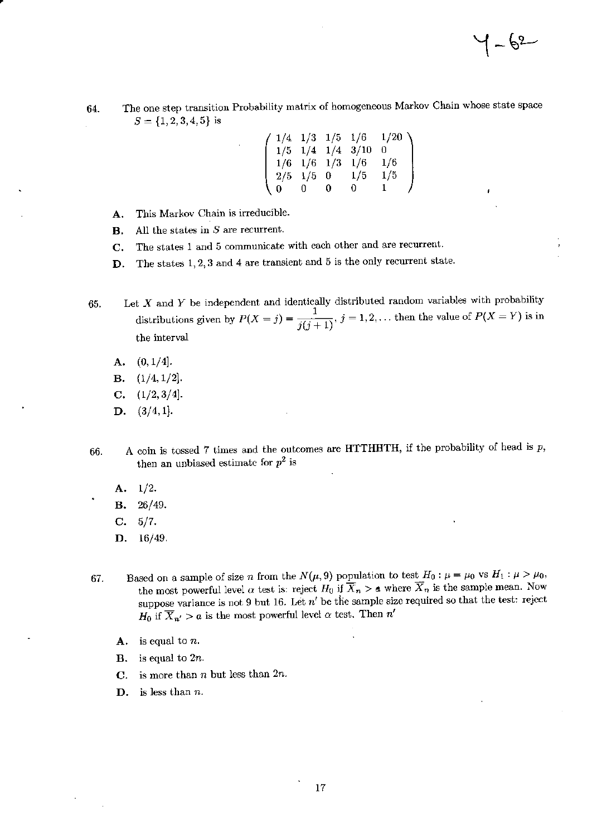$1 - \rho_{5}$ 

The one step transition Probability matrix of homogeneous Markov Chain whose state space 64.  $S = \{1, 2, 3, 4, 5\}$  is

|  |                   |      |                          | $(1/4 \t1/3 \t1/5 \t1/6 \t1/20)$ |  |
|--|-------------------|------|--------------------------|----------------------------------|--|
|  |                   |      | $1/5$ $1/4$ $1/4$ $3/10$ |                                  |  |
|  | $1/6$ $1/6$ $1/3$ |      | 1/6                      | 1/6                              |  |
|  | $2/5$ 1/5 0       |      | 1/5                      | 1/5                              |  |
|  | U.                | - 0- | 0.                       |                                  |  |

- This Markov Chain is irreducible. A.
- All the states in  $S$  are recurrent. В.
- The states 1 and 5 communicate with each other and are recurrent. C.
- The states  $1, 2, 3$  and  $4$  are transient and  $5$  is the only recurrent state. D.
- Let  $X$  and  $Y$  be independent and identically distributed random variables with probability 65. distributions given by  $P(X = j) = \frac{1}{j(j+1)}$ ,  $j = 1, 2, ...$  then the value of  $P(X = Y)$  is in the interval
	- $(0,1/4].$ A.
	- $(1/4, 1/2].$ **B.**
	- $(1/2,3/4].$  $\mathbf{C}$ .
	- $(3/4,1].$ D.
- A coin is tossed 7 times and the outcomes are HTTHHTH, if the probability of head is  $p$ , 66. then an unbiased estimate for  $p^2$  is
	- $1/2.$ А.
	- $26/49.$ В.
	- $5/7.$ C.
	- D.  $16/49$ .
- Based on a sample of size *n* from the  $N(\mu, 9)$  population to test  $H_0: \mu = \mu_0$  vs  $H_1: \mu > \mu_0$ , 67. the most powerful level  $\alpha$  test is: reject  $H_0$  if  $\overline{X}_n > a$  where  $\overline{X}_n$  is the sample mean. Now suppose variance is not 9 but 16. Let  $n'$  be the sample size required so that the test: reject  $H_0$  if  $\overline{X}_{n'} > a$  is the most powerful level  $\alpha$  test. Then  $n'$ 
	- $A.$  is equal to n.
	- **B.** is equal to  $2n$ .
	- is more than  $n$  but less than  $2n$ .  $\mathbf{C}$ .
	- is less than  $n$ . D.